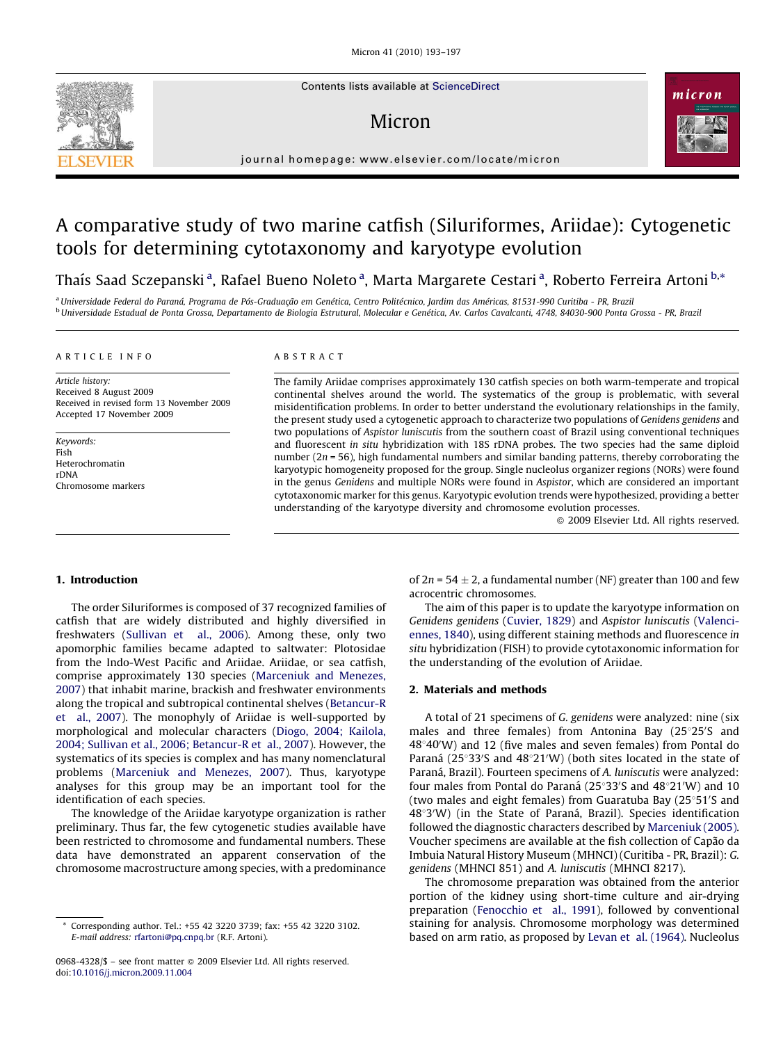Contents lists available at [ScienceDirect](http://www.sciencedirect.com/science/journal/09684328)

## Micron



journal homepage: www.elsevier.com/locate/micron

# A comparative study of two marine catfish (Siluriformes, Ariidae): Cytogenetic tools for determining cytotaxonomy and karyotype evolution

Thaís Saad Sczepanski <sup>a</sup>, Rafael Bueno Noleto <sup>a</sup>, Marta Margarete Cestari <sup>a</sup>, Roberto Ferreira Artoni <sup>b,</sup>\*

a Universidade Federal do Paraná, Programa de Pós-Graduação em Genética, Centro Politécnico, Jardim das Américas, 81531-990 Curitiba - PR, Brazil <sup>b</sup> Universidade Estadual de Ponta Grossa, Departamento de Biologia Estrutural, Molecular e Genética, Av. Carlos Cavalcanti, 4748, 84030-900 Ponta Grossa - PR, Brazil

### ARTICLE INFO

Article history: Received 8 August 2009 Received in revised form 13 November 2009 Accepted 17 November 2009

Keywords: Fish Heterochromatin rDNA Chromosome markers

## ABSTRACT

The family Ariidae comprises approximately 130 catfish species on both warm-temperate and tropical continental shelves around the world. The systematics of the group is problematic, with several misidentification problems. In order to better understand the evolutionary relationships in the family, the present study used a cytogenetic approach to characterize two populations of Genidens genidens and two populations of Aspistor luniscutis from the southern coast of Brazil using conventional techniques and fluorescent in situ hybridization with 18S rDNA probes. The two species had the same diploid number ( $2n = 56$ ), high fundamental numbers and similar banding patterns, thereby corroborating the karyotypic homogeneity proposed for the group. Single nucleolus organizer regions (NORs) were found in the genus Genidens and multiple NORs were found in Aspistor, which are considered an important cytotaxonomic marker for this genus. Karyotypic evolution trends were hypothesized, providing a better understanding of the karyotype diversity and chromosome evolution processes.

 $\odot$  2009 Elsevier Ltd. All rights reserved.

## 1. Introduction

The order Siluriformes is composed of 37 recognized families of catfish that are widely distributed and highly diversified in freshwaters [\(Sullivan et al., 2006\)](#page-4-0). Among these, only two apomorphic families became adapted to saltwater: Plotosidae from the Indo-West Pacific and Ariidae. Ariidae, or sea catfish, comprise approximately 130 species ([Marceniuk and Menezes,](#page-4-0) [2007\)](#page-4-0) that inhabit marine, brackish and freshwater environments along the tropical and subtropical continental shelves [\(Betancur-R](#page-4-0) [et al., 2007](#page-4-0)). The monophyly of Ariidae is well-supported by morphological and molecular characters [\(Diogo, 2004; Kailola,](#page-4-0) [2004; Sullivan et al., 2006; Betancur-R et al., 2007](#page-4-0)). However, the systematics of its species is complex and has many nomenclatural problems [\(Marceniuk and Menezes, 2007](#page-4-0)). Thus, karyotype analyses for this group may be an important tool for the identification of each species.

The knowledge of the Ariidae karyotype organization is rather preliminary. Thus far, the few cytogenetic studies available have been restricted to chromosome and fundamental numbers. These data have demonstrated an apparent conservation of the chromosome macrostructure among species, with a predominance

0968-4328/\$ – see front matter © 2009 Elsevier Ltd. All rights reserved. doi:[10.1016/j.micron.2009.11.004](http://dx.doi.org/10.1016/j.micron.2009.11.004)

of 2n = 54  $\pm$  2, a fundamental number (NF) greater than 100 and few acrocentric chromosomes.

The aim of this paper is to update the karyotype information on Genidens genidens ([Cuvier, 1829\)](#page-4-0) and Aspistor luniscutis [\(Valenci](#page-4-0)[ennes, 1840\)](#page-4-0), using different staining methods and fluorescence in situ hybridization (FISH) to provide cytotaxonomic information for the understanding of the evolution of Ariidae.

## 2. Materials and methods

A total of 21 specimens of G. genidens were analyzed: nine (six males and three females) from Antonina Bay (25°25'S and  $48^{\circ}40'$ W) and 12 (five males and seven females) from Pontal do Paraná ( $25^{\circ}33'$ S and  $48^{\circ}21'$ W) (both sites located in the state of Paraná, Brazil). Fourteen specimens of A. luniscutis were analyzed: four males from Pontal do Paraná ( $25^{\circ}33'$ S and  $48^{\circ}21'$ W) and 10 (two males and eight females) from Guaratuba Bay (25°51'S and 48°3'W) (in the State of Paraná, Brazil). Species identification followed the diagnostic characters described by [Marceniuk \(2005\).](#page-4-0) Voucher specimens are available at the fish collection of Capão da Imbuia Natural History Museum (MHNCI) (Curitiba - PR, Brazil): G. genidens (MHNCI 851) and A. luniscutis (MHNCI 8217).

The chromosome preparation was obtained from the anterior portion of the kidney using short-time culture and air-drying preparation [\(Fenocchio et al., 1991\)](#page-4-0), followed by conventional staining for analysis. Chromosome morphology was determined based on arm ratio, as proposed by [Levan et al. \(1964\)](#page-4-0). Nucleolus



Corresponding author. Tel.: +55 42 3220 3739; fax: +55 42 3220 3102. E-mail address: [rfartoni@pq.cnpq.br](mailto:rfartoni@pq.cnpq.br) (R.F. Artoni).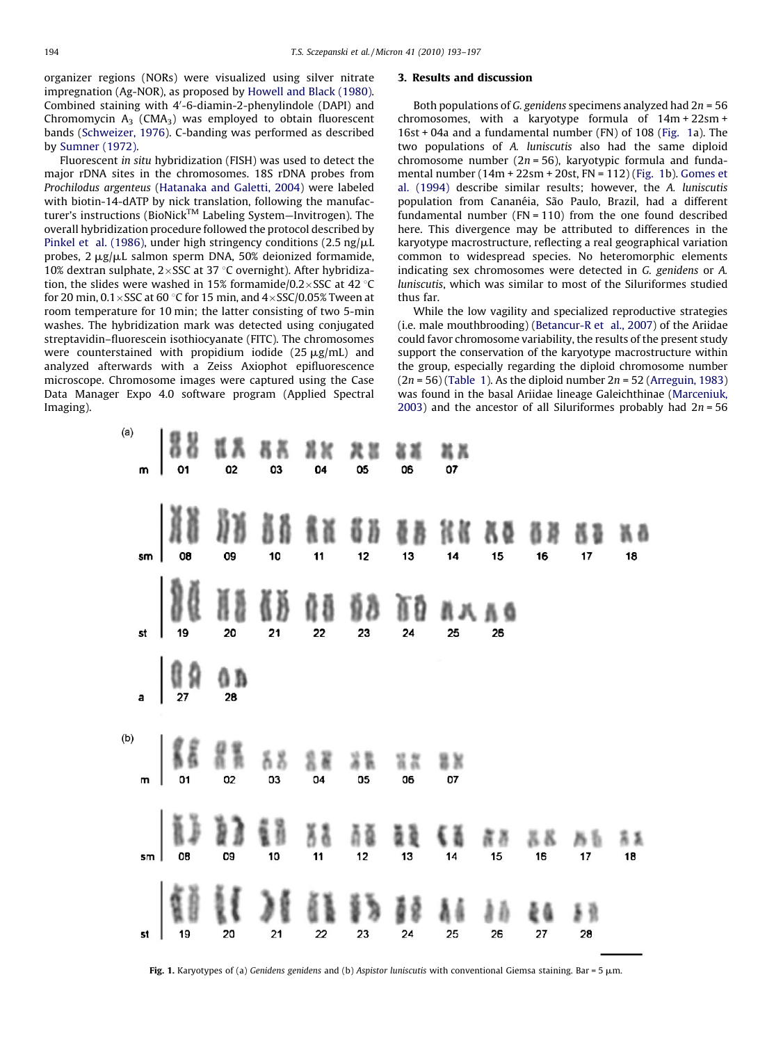organizer regions (NORs) were visualized using silver nitrate impregnation (Ag-NOR), as proposed by [Howell and Black \(1980\).](#page-4-0) Combined staining with 4'-6-diamin-2-phenylindole (DAPI) and Chromomycin  $A_3$  (CMA<sub>3</sub>) was employed to obtain fluorescent bands [\(Schweizer, 1976\)](#page-4-0). C-banding was performed as described by [Sumner \(1972\).](#page-4-0)

Fluorescent in situ hybridization (FISH) was used to detect the major rDNA sites in the chromosomes. 18S rDNA probes from Prochilodus argenteus [\(Hatanaka and Galetti, 2004](#page-4-0)) were labeled with biotin-14-dATP by nick translation, following the manufacturer's instructions (BioNick<sup>TM</sup> Labeling System—Invitrogen). The overall hybridization procedure followed the protocol described by [Pinkel et al. \(1986\),](#page-4-0) under high stringency conditions (2.5 ng/ $\mu$ L probes,  $2 \mu g/\mu L$  salmon sperm DNA, 50% deionized formamide, 10% dextran sulphate,  $2 \times$ SSC at 37 °C overnight). After hybridization, the slides were washed in 15% formamide/0.2 $\times$ SSC at 42 °C for 20 min,  $0.1 \times$ SSC at 60 °C for 15 min, and  $4 \times$ SSC/0.05% Tween at room temperature for 10 min; the latter consisting of two 5-min washes. The hybridization mark was detected using conjugated streptavidin–fluorescein isothiocyanate (FITC). The chromosomes were counterstained with propidium iodide  $(25 \mu g/mL)$  and analyzed afterwards with a Zeiss Axiophot epifluorescence microscope. Chromosome images were captured using the Case Data Manager Expo 4.0 software program (Applied Spectral Imaging).

### 3. Results and discussion

Both populations of G. genidens specimens analyzed had  $2n = 56$ chromosomes, with a karyotype formula of 14m + 22sm + 16st + 04a and a fundamental number (FN) of 108 (Fig. 1a). The two populations of A. luniscutis also had the same diploid chromosome number ( $2n = 56$ ), karyotypic formula and fundamental number (14m + 22sm + 20st, FN = 112) (Fig. 1b). [Gomes et](#page-4-0) [al. \(1994\)](#page-4-0) describe similar results; however, the A. luniscutis population from Cananéia, São Paulo, Brazil, had a different fundamental number (FN = 110) from the one found described here. This divergence may be attributed to differences in the karyotype macrostructure, reflecting a real geographical variation common to widespread species. No heteromorphic elements indicating sex chromosomes were detected in G. genidens or A. luniscutis, which was similar to most of the Siluriformes studied thus far.

While the low vagility and specialized reproductive strategies (i.e. male mouthbrooding) ([Betancur-R et al., 2007\)](#page-4-0) of the Ariidae could favor chromosome variability, the results of the present study support the conservation of the karyotype macrostructure within the group, especially regarding the diploid chromosome number  $(2n = 56)$  [\(Table 1](#page-2-0)). As the diploid number  $2n = 52$  ([Arreguin, 1983\)](#page-4-0) was found in the basal Ariidae lineage Galeichthinae ([Marceniuk,](#page-4-0) [2003\)](#page-4-0) and the ancestor of all Siluriformes probably had  $2n = 56$ 



Fig. 1. Karyotypes of (a) Genidens genidens and (b) Aspistor luniscutis with conventional Giemsa staining. Bar = 5  $\mu$ m.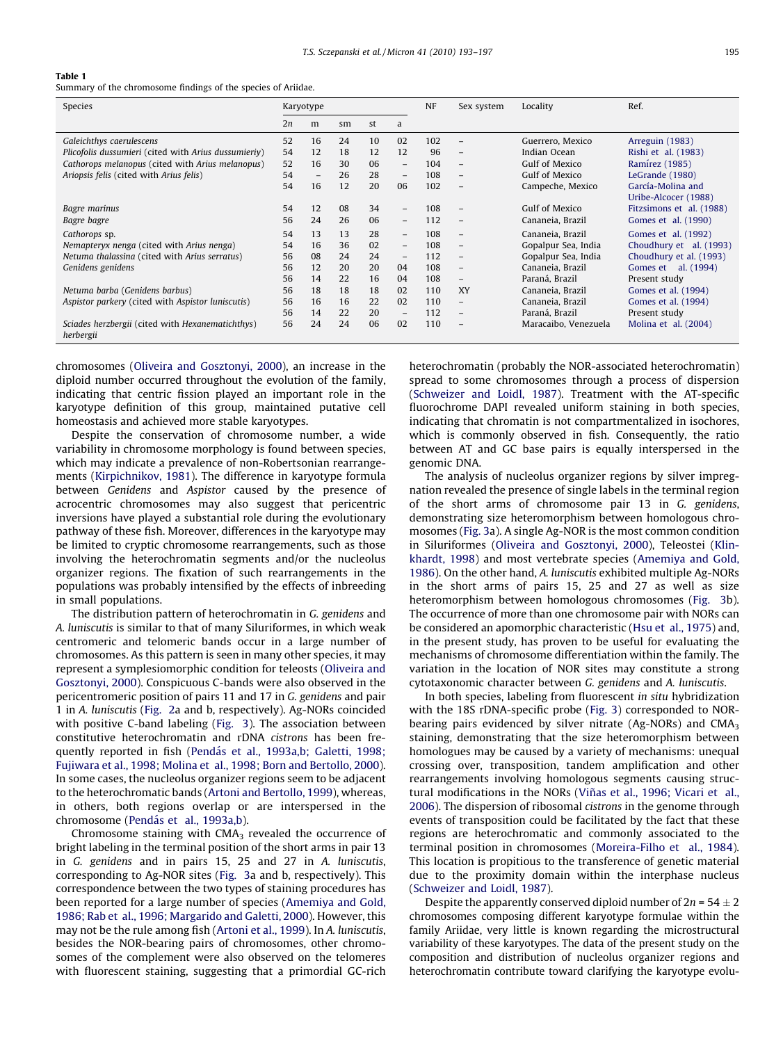## <span id="page-2-0"></span>Table 1

Summary of the chromosome findings of the species of Ariidae.

| Species                                                       | Karyotype |                   |    |    |                          | <b>NF</b> | Sex system               | Locality             | Ref.                                      |
|---------------------------------------------------------------|-----------|-------------------|----|----|--------------------------|-----------|--------------------------|----------------------|-------------------------------------------|
|                                                               | 2n        | m                 | sm | st | a                        |           |                          |                      |                                           |
| Galeichthys caerulescens                                      | 52        | 16                | 24 | 10 | 02                       | 102       | $\overline{\phantom{a}}$ | Guerrero, Mexico     | Arreguin (1983)                           |
| Plicofolis dussumieri (cited with Arius dussumieriy)          | 54        | 12                | 18 | 12 | 12                       | 96        | $\overline{\phantom{m}}$ | Indian Ocean         | Rishi et al. (1983)                       |
| Cathorops melanopus (cited with Arius melanopus)              | 52        | 16                | 30 | 06 | $-$                      | 104       | $\overline{\phantom{a}}$ | Gulf of Mexico       | Ramírez (1985)                            |
| Ariopsis felis (cited with Arius felis)                       | 54        | $\qquad \qquad -$ | 26 | 28 | $\qquad \qquad -$        | 108       | $\overline{\phantom{a}}$ | Gulf of Mexico       | LeGrande (1980)                           |
|                                                               | 54        | 16                | 12 | 20 | 06                       | 102       | $\overline{\phantom{m}}$ | Campeche, Mexico     | García-Molina and<br>Uribe-Alcocer (1988) |
| Bagre marinus                                                 | 54        | 12                | 08 | 34 | $-$                      | 108       | $\overline{\phantom{a}}$ | Gulf of Mexico       | Fitzsimons et al. (1988)                  |
| Bagre bagre                                                   | 56        | 24                | 26 | 06 | $\overline{\phantom{0}}$ | 112       | $\overline{\phantom{m}}$ | Cananeia, Brazil     | Gomes et al. (1990)                       |
| Cathorops sp.                                                 | 54        | 13                | 13 | 28 | $-$                      | 108       | $\overline{\phantom{a}}$ | Cananeia, Brazil     | Gomes et al. (1992)                       |
| Nemapteryx nenga (cited with Arius nenga)                     | 54        | 16                | 36 | 02 | $-$                      | 108       | $\overline{\phantom{0}}$ | Gopalpur Sea, India  | Choudhury et al. (1993)                   |
| Netuma thalassina (cited with Arius serratus)                 | 56        | 08                | 24 | 24 | $\overline{\phantom{0}}$ | 112       | $\overline{\phantom{m}}$ | Gopalpur Sea, India  | Choudhury et al. (1993)                   |
| Genidens genidens                                             | 56        | 12                | 20 | 20 | 04                       | 108       | $\overline{\phantom{m}}$ | Cananeia, Brazil     | Gomes et al. (1994)                       |
|                                                               | 56        | 14                | 22 | 16 | 04                       | 108       | $\overline{\phantom{a}}$ | Paraná, Brazil       | Present study                             |
| Netuma barba (Genidens barbus)                                | 56        | 18                | 18 | 18 | 02                       | 110       | <b>XY</b>                | Cananeia, Brazil     | Gomes et al. (1994)                       |
| Aspistor parkery (cited with Aspistor luniscutis)             | 56        | 16                | 16 | 22 | 02                       | 110       | $\overline{\phantom{m}}$ | Cananeia, Brazil     | Gomes et al. (1994)                       |
|                                                               | 56        | 14                | 22 | 20 | $\overline{\phantom{0}}$ | 112       | $\overline{\phantom{m}}$ | Paraná, Brazil       | Present study                             |
| Sciades herzbergii (cited with Hexanematichthys)<br>herbergii | 56        | 24                | 24 | 06 | 02                       | 110       | $\overline{\phantom{a}}$ | Maracaibo, Venezuela | Molina et al. (2004)                      |

chromosomes ([Oliveira and Gosztonyi, 2000](#page-4-0)), an increase in the diploid number occurred throughout the evolution of the family, indicating that centric fission played an important role in the karyotype definition of this group, maintained putative cell homeostasis and achieved more stable karyotypes.

Despite the conservation of chromosome number, a wide variability in chromosome morphology is found between species, which may indicate a prevalence of non-Robertsonian rearrangements [\(Kirpichnikov, 1981](#page-4-0)). The difference in karyotype formula between Genidens and Aspistor caused by the presence of acrocentric chromosomes may also suggest that pericentric inversions have played a substantial role during the evolutionary pathway of these fish. Moreover, differences in the karyotype may be limited to cryptic chromosome rearrangements, such as those involving the heterochromatin segments and/or the nucleolus organizer regions. The fixation of such rearrangements in the populations was probably intensified by the effects of inbreeding in small populations.

The distribution pattern of heterochromatin in G. genidens and A. luniscutis is similar to that of many Siluriformes, in which weak centromeric and telomeric bands occur in a large number of chromosomes. As this pattern is seen in many other species, it may represent a symplesiomorphic condition for teleosts [\(Oliveira and](#page-4-0) [Gosztonyi, 2000](#page-4-0)). Conspicuous C-bands were also observed in the pericentromeric position of pairs 11 and 17 in G. genidens and pair 1 in A. luniscutis ([Fig. 2](#page-3-0)a and b, respectively). Ag-NORs coincided with positive C-band labeling ([Fig. 3](#page-3-0)). The association between constitutive heterochromatin and rDNA cistrons has been frequently reported in fish (Pendá[s et al., 1993a,b; Galetti, 1998;](#page-4-0) [Fujiwara et al., 1998; Molina et al., 1998; Born and Bertollo, 2000\)](#page-4-0). In some cases, the nucleolus organizer regions seem to be adjacent to the heterochromatic bands [\(Artoni and Bertollo, 1999](#page-4-0)), whereas, in others, both regions overlap or are interspersed in the chromosome (Pendá[s et al., 1993a,b](#page-4-0)).

Chromosome staining with  $CMA<sub>3</sub>$  revealed the occurrence of bright labeling in the terminal position of the short arms in pair 13 in G. genidens and in pairs 15, 25 and 27 in A. luniscutis, corresponding to Ag-NOR sites ([Fig. 3](#page-3-0)a and b, respectively). This correspondence between the two types of staining procedures has been reported for a large number of species ([Amemiya and Gold,](#page-4-0) [1986; Rab et al., 1996; Margarido and Galetti, 2000\)](#page-4-0). However, this may not be the rule among fish ([Artoni et al., 1999](#page-4-0)). In A. luniscutis, besides the NOR-bearing pairs of chromosomes, other chromosomes of the complement were also observed on the telomeres with fluorescent staining, suggesting that a primordial GC-rich

heterochromatin (probably the NOR-associated heterochromatin) spread to some chromosomes through a process of dispersion ([Schweizer and Loidl, 1987](#page-4-0)). Treatment with the AT-specific fluorochrome DAPI revealed uniform staining in both species, indicating that chromatin is not compartmentalized in isochores, which is commonly observed in fish. Consequently, the ratio between AT and GC base pairs is equally interspersed in the genomic DNA.

The analysis of nucleolus organizer regions by silver impregnation revealed the presence of single labels in the terminal region of the short arms of chromosome pair 13 in G. genidens, demonstrating size heteromorphism between homologous chromosomes ([Fig. 3a](#page-3-0)). A single Ag-NOR is the most common condition in Siluriformes [\(Oliveira and Gosztonyi, 2000](#page-4-0)), Teleostei ([Klin](#page-4-0)[khardt, 1998](#page-4-0)) and most vertebrate species [\(Amemiya and Gold,](#page-4-0) [1986\)](#page-4-0). On the other hand, A. luniscutis exhibited multiple Ag-NORs in the short arms of pairs 15, 25 and 27 as well as size heteromorphism between homologous chromosomes [\(Fig. 3b](#page-3-0)). The occurrence of more than one chromosome pair with NORs can be considered an apomorphic characteristic ([Hsu et al., 1975\)](#page-4-0) and, in the present study, has proven to be useful for evaluating the mechanisms of chromosome differentiation within the family. The variation in the location of NOR sites may constitute a strong cytotaxonomic character between G. genidens and A. luniscutis.

In both species, labeling from fluorescent in situ hybridization with the 18S rDNA-specific probe ([Fig. 3\)](#page-3-0) corresponded to NORbearing pairs evidenced by silver nitrate (Ag-NORs) and CMA<sub>3</sub> staining, demonstrating that the size heteromorphism between homologues may be caused by a variety of mechanisms: unequal crossing over, transposition, tandem amplification and other rearrangements involving homologous segments causing structural modifications in the NORs (Viñas et al., 1996; Vicari et al., [2006\)](#page-4-0). The dispersion of ribosomal cistrons in the genome through events of transposition could be facilitated by the fact that these regions are heterochromatic and commonly associated to the terminal position in chromosomes [\(Moreira-Filho et al., 1984\)](#page-4-0). This location is propitious to the transference of genetic material due to the proximity domain within the interphase nucleus ([Schweizer and Loidl, 1987](#page-4-0)).

Despite the apparently conserved diploid number of  $2n = 54 \pm 2$ chromosomes composing different karyotype formulae within the family Ariidae, very little is known regarding the microstructural variability of these karyotypes. The data of the present study on the composition and distribution of nucleolus organizer regions and heterochromatin contribute toward clarifying the karyotype evolu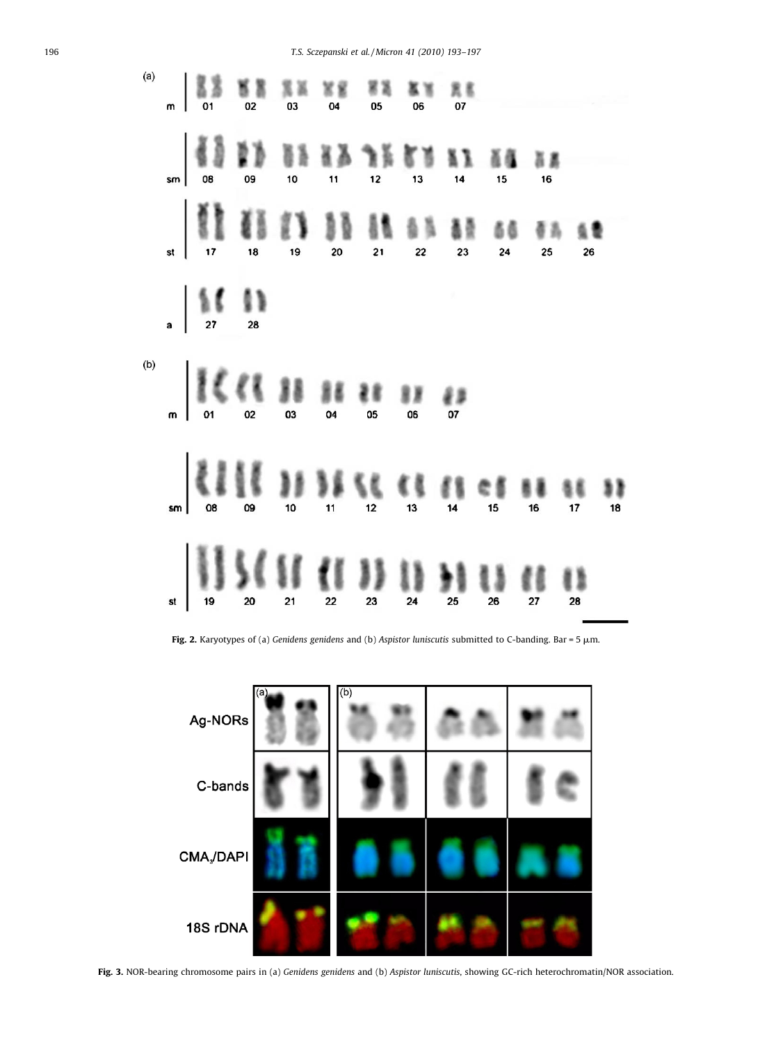<span id="page-3-0"></span>196 T.S. Sczepanski et al. / Micron 41 (2010) 193–197



Fig. 2. Karyotypes of (a) Genidens genidens and (b) Aspistor luniscutis submitted to C-banding. Bar = 5  $\mu$ m.



Fig. 3. NOR-bearing chromosome pairs in (a) Genidens genidens and (b) Aspistor luniscutis, showing GC-rich heterochromatin/NOR association.